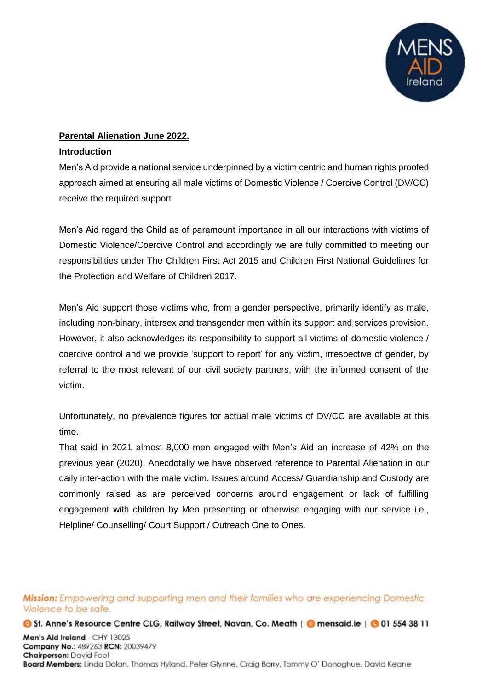

### **Parental Alienation June 2022.**

#### **Introduction**

Men's Aid provide a national service underpinned by a victim centric and human rights proofed approach aimed at ensuring all male victims of Domestic Violence / Coercive Control (DV/CC) receive the required support.

Men's Aid regard the Child as of paramount importance in all our interactions with victims of Domestic Violence/Coercive Control and accordingly we are fully committed to meeting our responsibilities under The Children First Act 2015 and Children First National Guidelines for the Protection and Welfare of Children 2017.

Men's Aid support those victims who, from a gender perspective, primarily identify as male, including non-binary, intersex and transgender men within its support and services provision. However, it also acknowledges its responsibility to support all victims of domestic violence / coercive control and we provide 'support to report' for any victim, irrespective of gender, by referral to the most relevant of our civil society partners, with the informed consent of the victim.

Unfortunately, no prevalence figures for actual male victims of DV/CC are available at this time.

That said in 2021 almost 8,000 men engaged with Men's Aid an increase of 42% on the previous year (2020). Anecdotally we have observed reference to Parental Alienation in our daily inter-action with the male victim. Issues around Access/ Guardianship and Custody are commonly raised as are perceived concerns around engagement or lack of fulfilling engagement with children by Men presenting or otherwise engaging with our service i.e., Helpline/ Counselling/ Court Support / Outreach One to Ones.

Mission: Empowering and supporting men and their families who are experiencing Domestic Violence to be safe.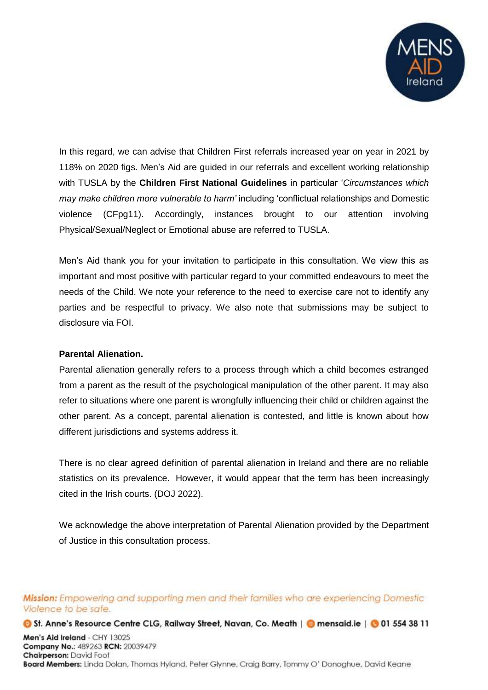

In this regard, we can advise that Children First referrals increased year on year in 2021 by 118% on 2020 figs. Men's Aid are guided in our referrals and excellent working relationship with TUSLA by the **Children First National Guidelines** in particular '*Circumstances which may make children more vulnerable to harm'* including 'conflictual relationships and Domestic violence (CFpg11). Accordingly, instances brought to our attention involving Physical/Sexual/Neglect or Emotional abuse are referred to TUSLA.

Men's Aid thank you for your invitation to participate in this consultation. We view this as important and most positive with particular regard to your committed endeavours to meet the needs of the Child. We note your reference to the need to exercise care not to identify any parties and be respectful to privacy. We also note that submissions may be subject to disclosure via FOI.

#### **Parental Alienation.**

Parental alienation generally refers to a process through which a child becomes estranged from a parent as the result of the psychological manipulation of the other parent. It may also refer to situations where one parent is wrongfully influencing their child or children against the other parent. As a concept, parental alienation is contested, and little is known about how different jurisdictions and systems address it.

There is no clear agreed definition of parental alienation in Ireland and there are no reliable statistics on its prevalence. However, it would appear that the term has been increasingly cited in the Irish courts. (DOJ 2022).

We acknowledge the above interpretation of Parental Alienation provided by the Department of Justice in this consultation process.

Mission: Empowering and supporting men and their families who are experiencing Domestic Violence to be safe.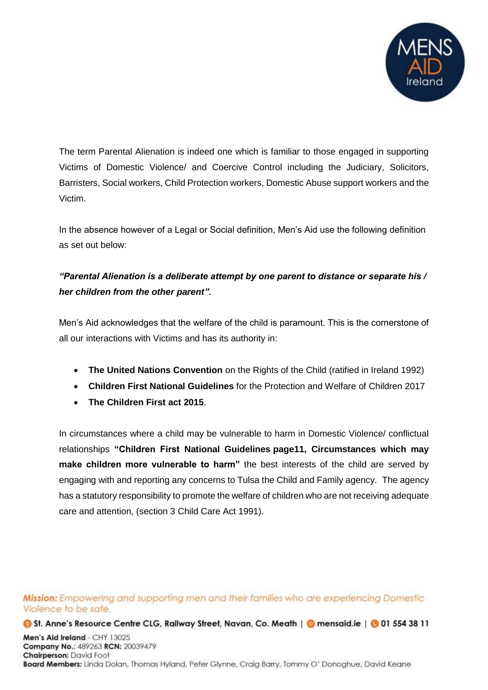

The term Parental Alienation is indeed one which is familiar to those engaged in supporting Victims of Domestic Violence/ and Coercive Control including the Judiciary, Solicitors, Barristers, Social workers, Child Protection workers, Domestic Abuse support workers and the Victim.

In the absence however of a Legal or Social definition, Men's Aid use the following definition as set out below:

# *"Parental Alienation is a deliberate attempt by one parent to distance or separate his / her children from the other parent".*

Men's Aid acknowledges that the welfare of the child is paramount. This is the cornerstone of all our interactions with Victims and has its authority in:

- **The United Nations Convention** on the Rights of the Child (ratified in Ireland 1992)
- **Children First National Guidelines** for the Protection and Welfare of Children 2017
- **The Children First act 2015**.

In circumstances where a child may be vulnerable to harm in Domestic Violence/ conflictual relationships **"Children First National Guidelines page11, Circumstances which may make children more vulnerable to harm"** the best interests of the child are served by engaging with and reporting any concerns to Tulsa the Child and Family agency. The agency has a statutory responsibility to promote the welfare of children who are not receiving adequate care and attention, (section 3 Child Care Act 1991).

Mission: Empowering and supporting men and their families who are experiencing Domestic Violence to be safe.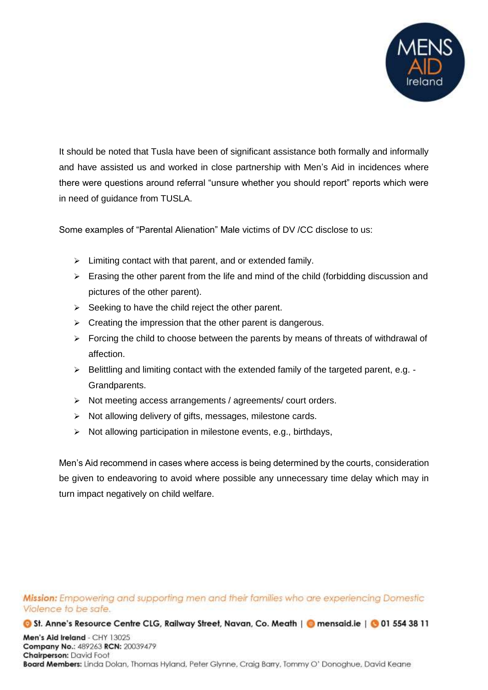

It should be noted that Tusla have been of significant assistance both formally and informally and have assisted us and worked in close partnership with Men's Aid in incidences where there were questions around referral "unsure whether you should report" reports which were in need of guidance from TUSLA.

Some examples of "Parental Alienation" Male victims of DV /CC disclose to us:

- $\triangleright$  Limiting contact with that parent, and or extended family.
- $\triangleright$  Erasing the other parent from the life and mind of the child (forbidding discussion and pictures of the other parent).
- $\triangleright$  Seeking to have the child reject the other parent.
- $\triangleright$  Creating the impression that the other parent is dangerous.
- $\triangleright$  Forcing the child to choose between the parents by means of threats of withdrawal of affection.
- $\triangleright$  Belittling and limiting contact with the extended family of the targeted parent, e.g. -Grandparents.
- $\triangleright$  Not meeting access arrangements / agreements/ court orders.
- $\triangleright$  Not allowing delivery of gifts, messages, milestone cards.
- $\triangleright$  Not allowing participation in milestone events, e.g., birthdays,

Men's Aid recommend in cases where access is being determined by the courts, consideration be given to endeavoring to avoid where possible any unnecessary time delay which may in turn impact negatively on child welfare.

Mission: Empowering and supporting men and their families who are experiencing Domestic Violence to be safe.